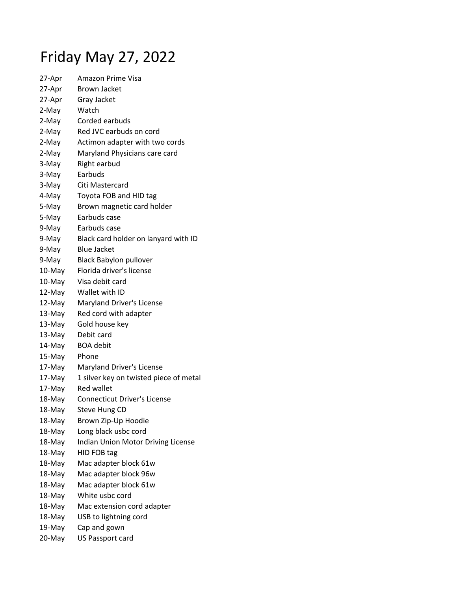## Friday May 27, 2022

| 27-Apr | <b>Amazon Prime Visa</b>               |
|--------|----------------------------------------|
| 27-Apr | <b>Brown Jacket</b>                    |
| 27-Apr | Gray Jacket                            |
| 2-May  | Watch                                  |
| 2-May  | Corded earbuds                         |
| 2-May  | Red JVC earbuds on cord                |
| 2-May  | Actimon adapter with two cords         |
| 2-May  | Maryland Physicians care card          |
| 3-May  | Right earbud                           |
| 3-May  | Earbuds                                |
| 3-May  | Citi Mastercard                        |
| 4-May  | Toyota FOB and HID tag                 |
| 5-May  | Brown magnetic card holder             |
| 5-May  | Earbuds case                           |
| 9-May  | Earbuds case                           |
| 9-May  | Black card holder on lanyard with ID   |
| 9-May  | <b>Blue Jacket</b>                     |
| 9-May  | <b>Black Babylon pullover</b>          |
| 10-May | Florida driver's license               |
| 10-May | Visa debit card                        |
| 12-May | Wallet with ID                         |
| 12-May | Maryland Driver's License              |
| 13-May | Red cord with adapter                  |
| 13-May | Gold house key                         |
| 13-May | Debit card                             |
| 14-May | <b>BOA</b> debit                       |
| 15-May | Phone                                  |
| 17-May | Maryland Driver's License              |
| 17-May | 1 silver key on twisted piece of metal |
| 17-May | <b>Red wallet</b>                      |
| 18-May | <b>Connecticut Driver's License</b>    |
| 18-May | Steve Hung CD                          |
| 18-May | Brown Zip-Up Hoodie                    |
| 18-May | Long black usbc cord                   |
| 18-May | Indian Union Motor Driving License     |
| 18-May | HID FOB tag                            |
| 18-May | Mac adapter block 61w                  |
| 18-May | Mac adapter block 96w                  |
| 18-May | Mac adapter block 61w                  |
| 18-May | White usbc cord                        |
| 18-May | Mac extension cord adapter             |
| 18-May | USB to lightning cord                  |
| 19-May | Cap and gown                           |
| 20-May | US Passport card                       |